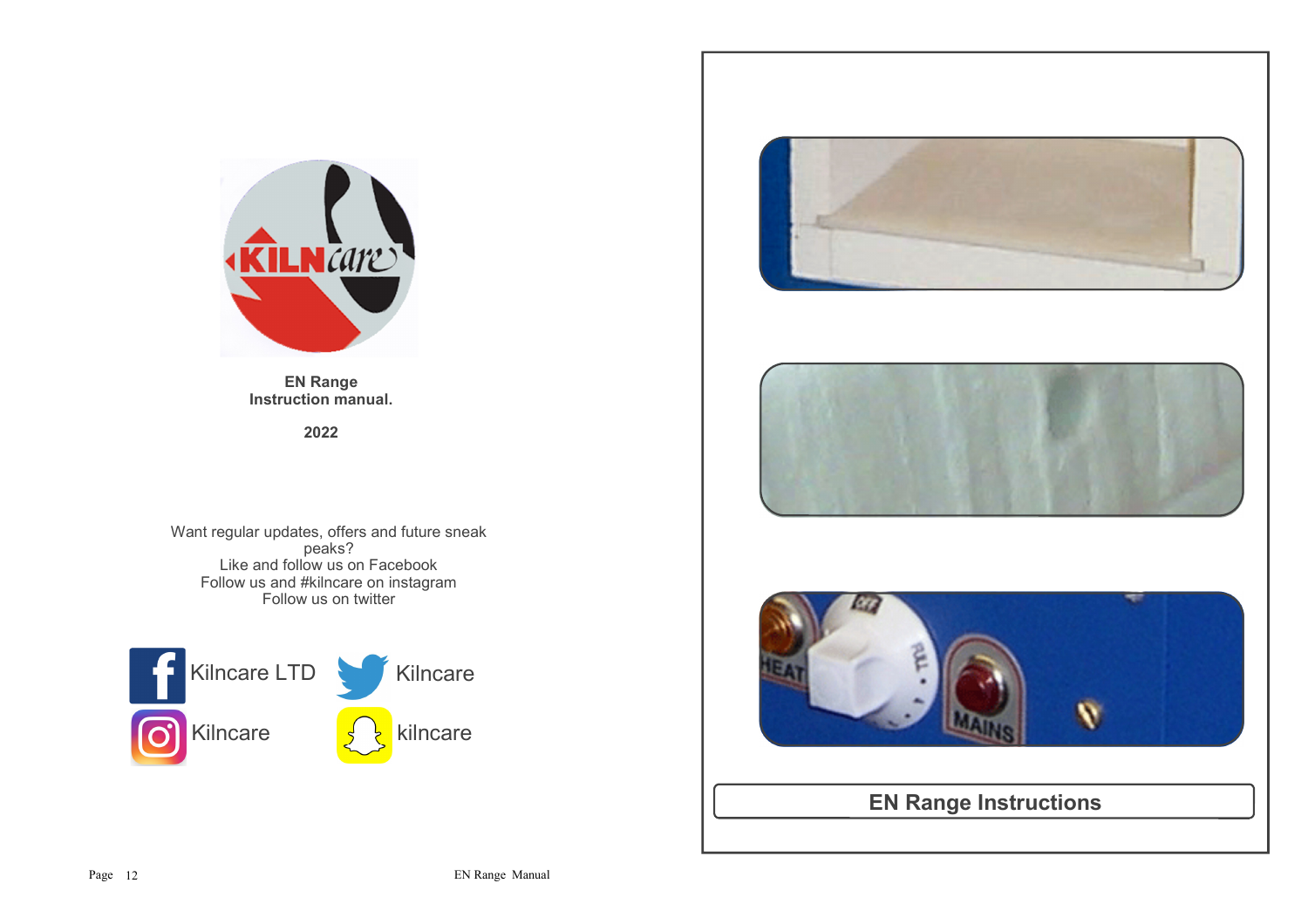

**EN Range Instruction manual.**

**2022**

Want regular updates, offers and future sneak peaks? Like and follow us on FacebookFollow us and #kilncare on instagram Follow us on twitter









**EN Range Instructions**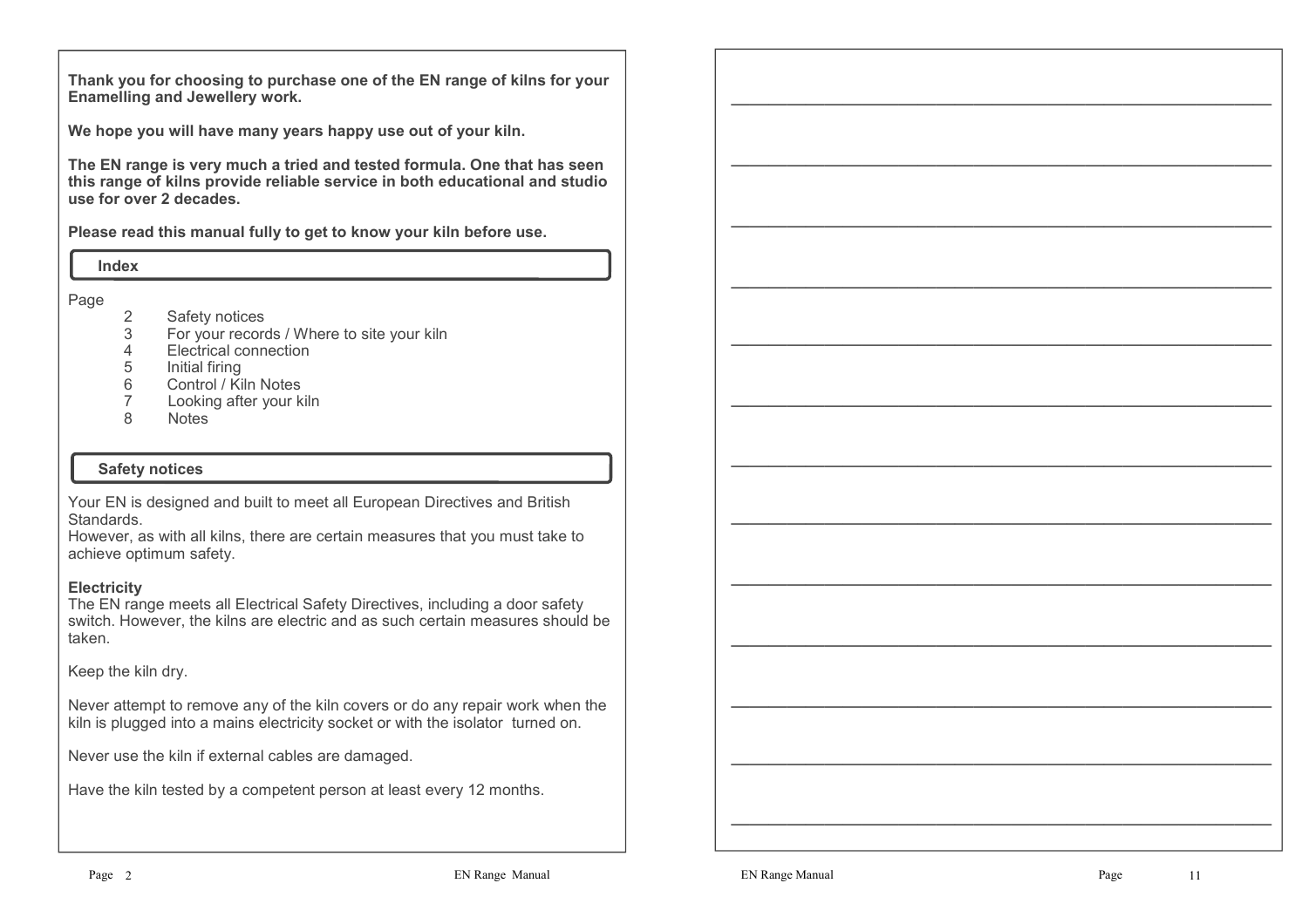**Thank you for choosing to purchase one of the EN range of kilns for your Enamelling and Jewellery work.**

**We hope you will have many years happy use out of your kiln.** 

**The EN range is very much a tried and tested formula. One that has seen this range of kilns provide reliable service in both educational and studio use for over 2 decades.**

**Please read this manual fully to get to know your kiln before use.**

 **Index**

Page

- 2 Safety notices<br>3 For your record
- 3 For your records / Where to site your kiln
- 4 Electrical connection
- 5 Initial firing<br>6 Control / Kil
- 6 Control / Kiln Notes
- Looking after your kiln 7
- 8**Notes**

#### **Safety notices**

Your EN is designed and built to meet all European Directives and British **Standards** 

 However, as with all kilns, there are certain measures that you must take to achieve optimum safety.

#### **Electricity**

 The EN range meets all Electrical Safety Directives, including a door safety switch. However, the kilns are electric and as such certain measures should be taken.

Keep the kiln dry.

Never attempt to remove any of the kiln covers or do any repair work when the kiln is plugged into a mains electricity socket or with the isolator turned on.

Never use the kiln if external cables are damaged.

Have the kiln tested by a competent person at least every 12 months.

EN Range Manual<br>Property and the contract of the contract of the contract of the contract of the contract of the contract of the<br>Property of the contract of the contract of the contract of the contract of the contract of t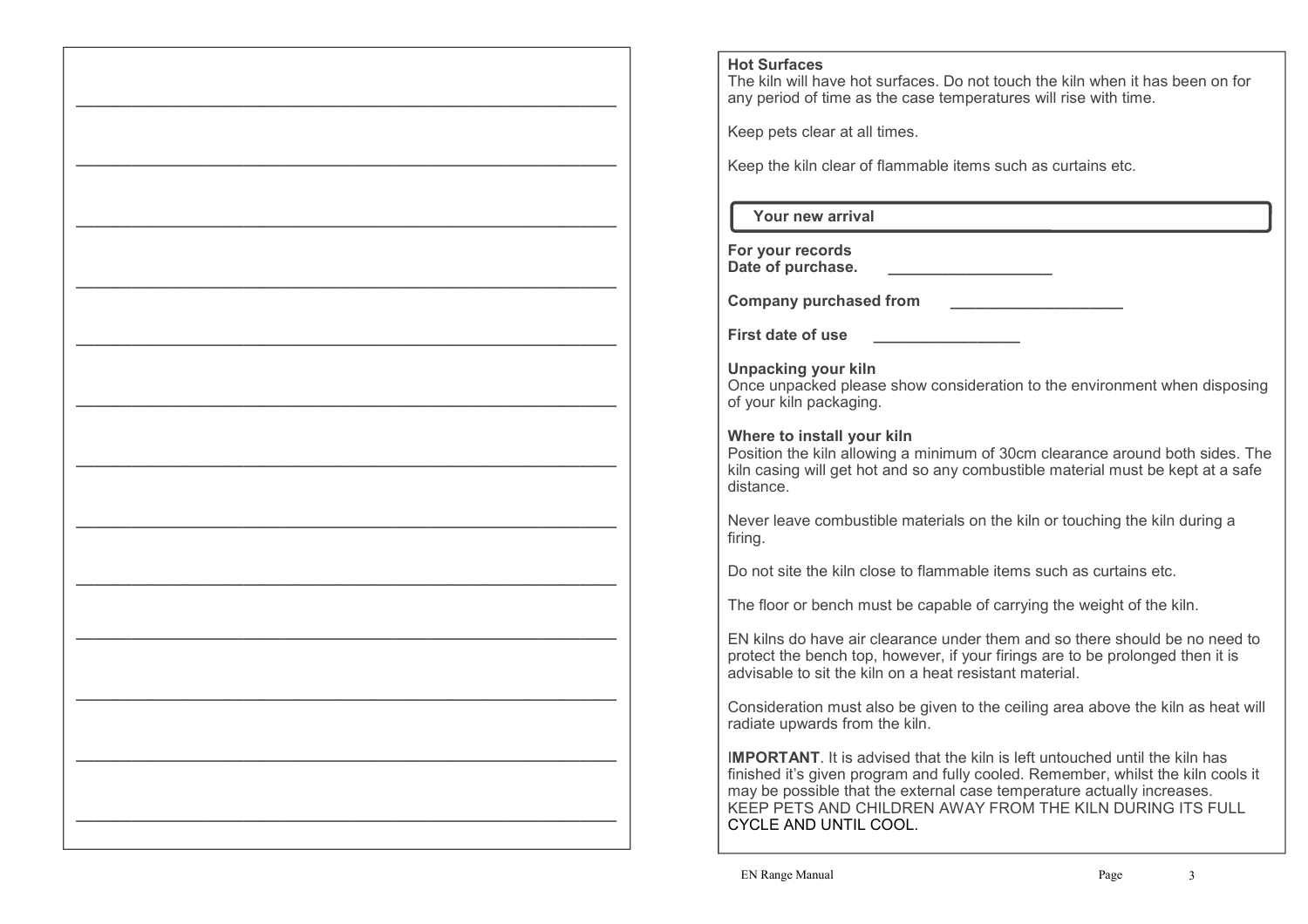## **Hot Surfaces**

—————————————————————————————

—————————————————————————————

————————————————————————————— —————————————————————————————

—————————————————————————————

—————————————————————————————

 $\frac{1}{\sqrt{2}}$ 

—————————————————————————————

—————————————————————————————

—————————————————————————————

 $\frac{1}{\sqrt{2}}$ 

 The kiln will have hot surfaces. Do not touch the kiln when it has been on for any period of time as the case temperatures will rise with time.

Keep pets clear at all times.

Keep the kiln clear of flammable items such as curtains etc.

 **Your new arrival**

**For your recordsDate of purchase. \_\_\_\_\_\_\_\_\_\_\_\_\_\_\_\_\_\_\_**

**Company purchased from \_\_\_\_\_\_\_\_\_\_\_\_\_\_\_\_\_\_\_\_**

**First date of use \_\_\_\_\_\_\_\_\_\_\_\_\_\_\_\_\_**

**Unpacking your kiln** Once unpacked please show consideration to the environment when disposing of your kiln packaging.

## **Where to install your kiln**

 Position the kiln allowing a minimum of 30cm clearance around both sides. The kiln casing will get hot and so any combustible material must be kept at a safe distance.

Never leave combustible materials on the kiln or touching the kiln during a firing.

Do not site the kiln close to flammable items such as curtains etc.

The floor or bench must be capable of carrying the weight of the kiln.

EN kilns do have air clearance under them and so there should be no need to protect the bench top, however, if your firings are to be prolonged then it is advisable to sit the kiln on a heat resistant material.

Consideration must also be given to the ceiling area above the kiln as heat will radiate upwards from the kiln.

I**MPORTANT**. It is advised that the kiln is left untouched until the kiln has finished it's given program and fully cooled. Remember, whilst the kiln cools it may be possible that the external case temperature actually increases. KEEP PETS AND CHILDREN AWAY FROM THE KILN DURING ITS FULL CYCLE AND UNTIL COOL.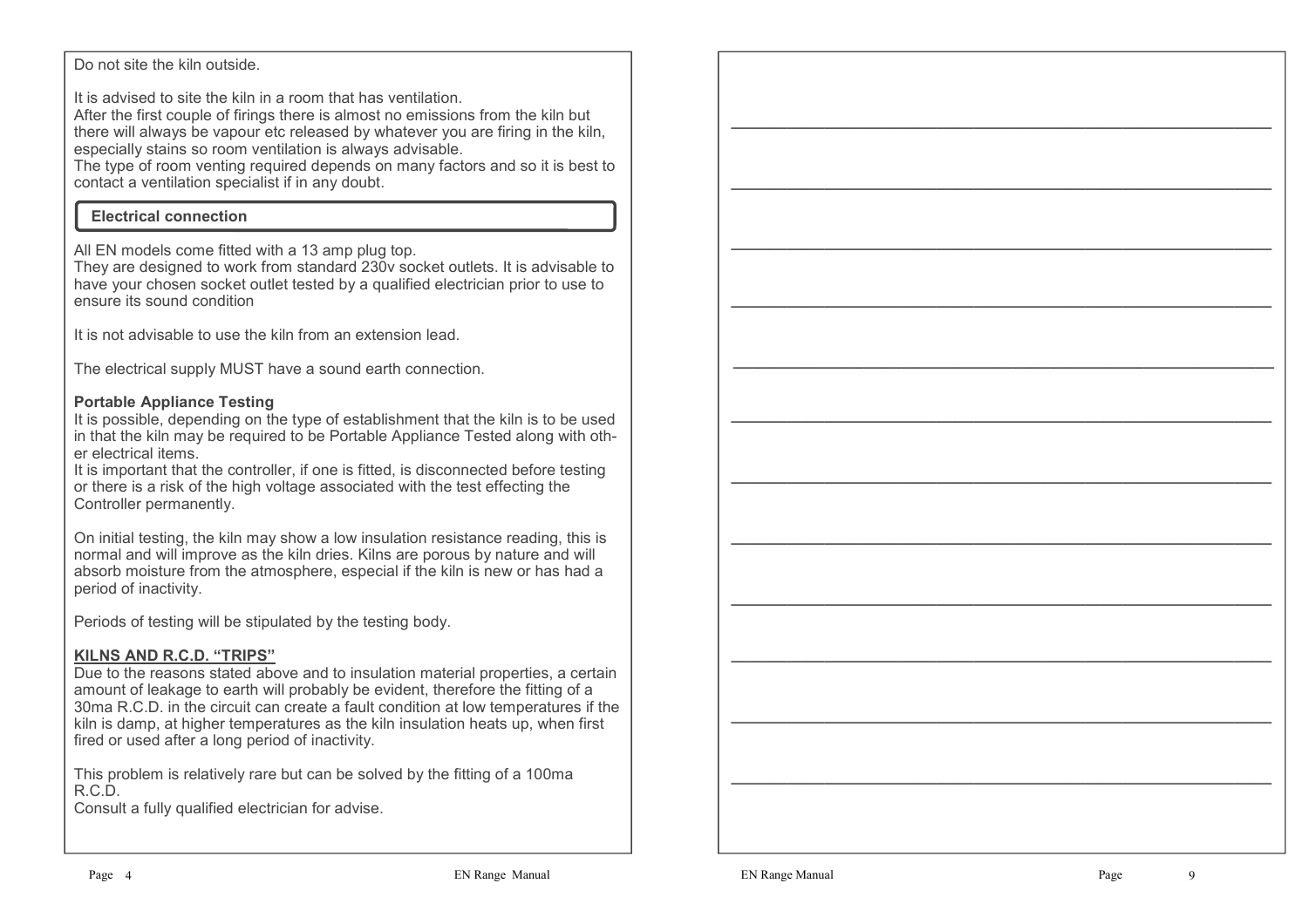#### Do not site the kiln outside.

It is advised to site the kiln in a room that has ventilation.

 After the first couple of firings there is almost no emissions from the kiln but there will always be vapour etc released by whatever you are firing in the kiln, especially stains so room ventilation is always advisable.

 The type of room venting required depends on many factors and so it is best to contact a ventilation specialist if in any doubt.

# **Electrical connection**

All EN models come fitted with a 13 amp plug top.

 They are designed to work from standard 230v socket outlets. It is advisable to have your chosen socket outlet tested by a qualified electrician prior to use to ensure its sound condition

It is not advisable to use the kiln from an extension lead.

The electrical supply MUST have a sound earth connection.

# **Portable Appliance Testing**

 It is possible, depending on the type of establishment that the kiln is to be used in that the kiln may be required to be Portable Appliance Tested along with other electrical items.

 It is important that the controller, if one is fitted, is disconnected before testing or there is a risk of the high voltage associated with the test effecting the Controller permanently.

On initial testing, the kiln may show a low insulation resistance reading, this is normal and will improve as the kiln dries. Kilns are porous by nature and will absorb moisture from the atmosphere, especial if the kiln is new or has had a period of inactivity.

Periods of testing will be stipulated by the testing body.

# **KILNS AND R.C.D. "TRIPS"**

 Due to the reasons stated above and to insulation material properties, a certain amount of leakage to earth will probably be evident, therefore the fitting of a 30ma R.C.D. in the circuit can create a fault condition at low temperatures if the kiln is damp, at higher temperatures as the kiln insulation heats  $\dot{u}$ , when first fired or used after a long period of inactivity.

This problem is relatively rare but can be solved by the fitting of a 100ma R.C.D.

Consult a fully qualified electrician for advise.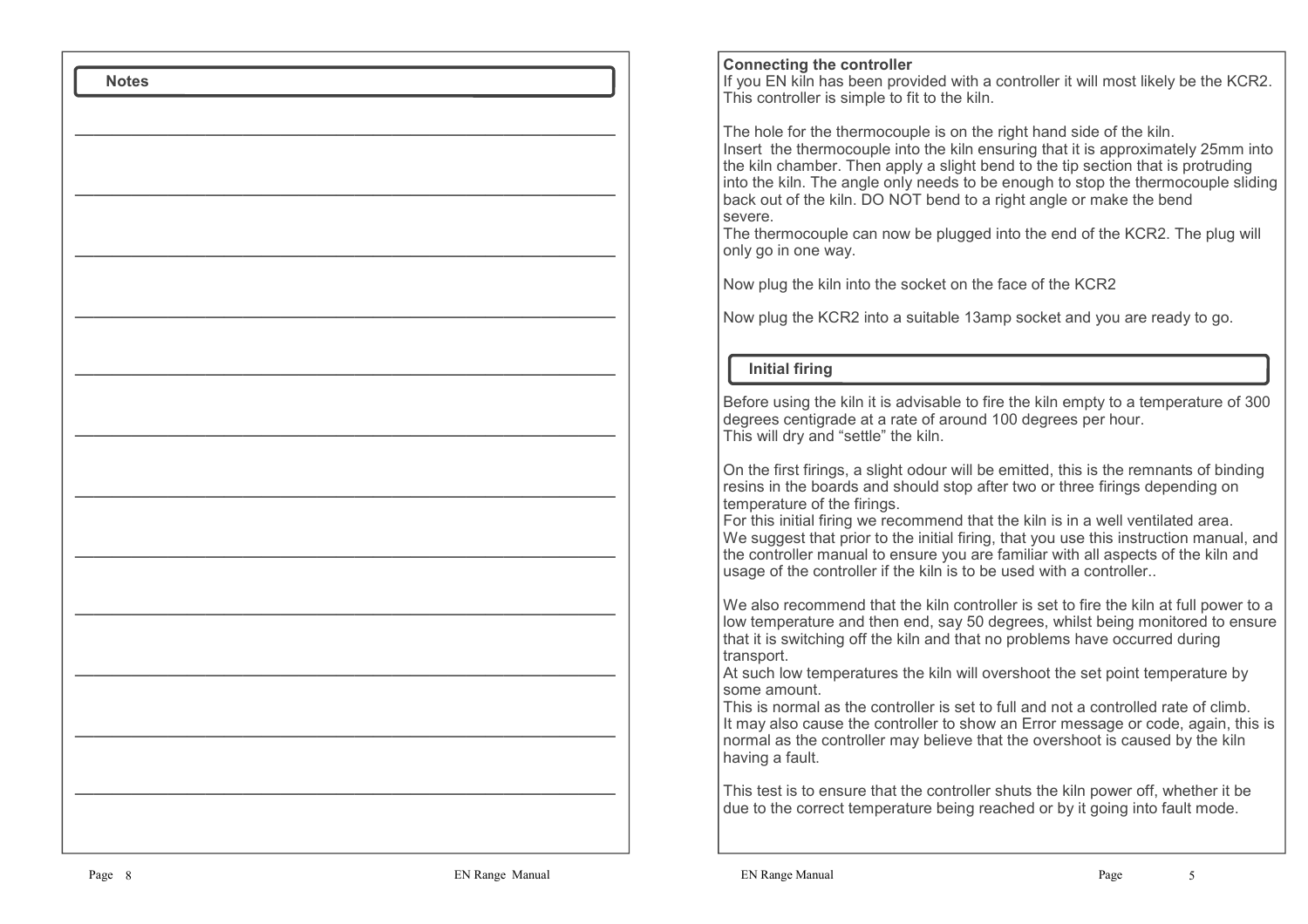| <b>Connecting the controller</b><br>If you EN kiln has been provided with a controller it will most likely be the KCR2.<br>This controller is simple to fit to the kiln.                                                                                                                                                                                                                                                                                                                                                                       |
|------------------------------------------------------------------------------------------------------------------------------------------------------------------------------------------------------------------------------------------------------------------------------------------------------------------------------------------------------------------------------------------------------------------------------------------------------------------------------------------------------------------------------------------------|
| The hole for the thermocouple is on the right hand side of the kiln.<br>Insert the thermocouple into the kiln ensuring that it is approximately 25mm into<br>the kiln chamber. Then apply a slight bend to the tip section that is protruding<br>into the kiln. The angle only needs to be enough to stop the thermocouple sliding<br>back out of the kiln. DO NOT bend to a right angle or make the bend<br>severe.<br>The thermocouple can now be plugged into the end of the KCR2. The plug will<br>only go in one way.                     |
| Now plug the kiln into the socket on the face of the KCR2                                                                                                                                                                                                                                                                                                                                                                                                                                                                                      |
| Now plug the KCR2 into a suitable 13amp socket and you are ready to go.                                                                                                                                                                                                                                                                                                                                                                                                                                                                        |
| <b>Initial firing</b>                                                                                                                                                                                                                                                                                                                                                                                                                                                                                                                          |
| Before using the kiln it is advisable to fire the kiln empty to a temperature of 300<br>degrees centigrade at a rate of around 100 degrees per hour.<br>This will dry and "settle" the kiln.                                                                                                                                                                                                                                                                                                                                                   |
| On the first firings, a slight odour will be emitted, this is the remnants of binding<br>resins in the boards and should stop after two or three firings depending on<br>temperature of the firings.<br>For this initial firing we recommend that the kiln is in a well ventilated area.<br>We suggest that prior to the initial firing, that you use this instruction manual, and<br>the controller manual to ensure you are familiar with all aspects of the kiln and<br>usage of the controller if the kiln is to be used with a controller |
| We also recommend that the kiln controller is set to fire the kiln at full power to a<br>low temperature and then end, say 50 degrees, whilst being monitored to ensure<br>that it is switching off the kiln and that no problems have occurred during<br>transport.                                                                                                                                                                                                                                                                           |
| At such low temperatures the kiln will overshoot the set point temperature by<br>some amount.<br>This is normal as the controller is set to full and not a controlled rate of climb.<br>It may also cause the controller to show an Error message or code, again, this is<br>normal as the controller may believe that the overshoot is caused by the kiln<br>having a fault.                                                                                                                                                                  |
| This test is to ensure that the controller shuts the kiln power off, whether it be<br>due to the correct temperature being reached or by it going into fault mode.                                                                                                                                                                                                                                                                                                                                                                             |
|                                                                                                                                                                                                                                                                                                                                                                                                                                                                                                                                                |